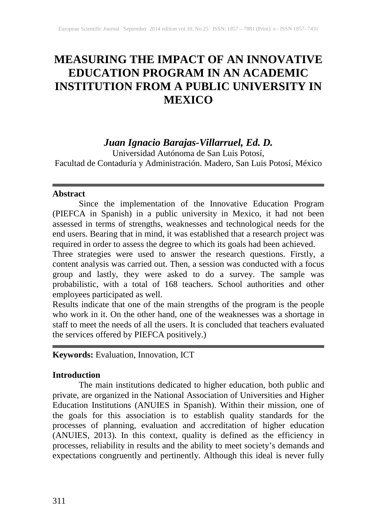# **MEASURING THE IMPACT OF AN INNOVATIVE EDUCATION PROGRAM IN AN ACADEMIC INSTITUTION FROM A PUBLIC UNIVERSITY IN MEXICO**

## *Juan Ignacio Barajas-Villarruel, Ed. D.*

Universidad Autónoma de San Luis Potosí, Facultad de Contaduría y Administración. Madero, San Luis Potosí, México

#### **Abstract**

Since the implementation of the Innovative Education Program (PIEFCA in Spanish) in a public university in Mexico, it had not been assessed in terms of strengths, weaknesses and technological needs for the end users. Bearing that in mind, it was established that a research project was required in order to assess the degree to which its goals had been achieved.

Three strategies were used to answer the research questions. Firstly, a content analysis was carried out. Then, a session was conducted with a focus group and lastly, they were asked to do a survey. The sample was probabilistic, with a total of 168 teachers. School authorities and other employees participated as well.

Results indicate that one of the main strengths of the program is the people who work in it. On the other hand, one of the weaknesses was a shortage in staff to meet the needs of all the users. It is concluded that teachers evaluated the services offered by PIEFCA positively.)

**Keywords:** Evaluation, Innovation, ICT

## **Introduction**

The main institutions dedicated to higher education, both public and private, are organized in the National Association of Universities and Higher Education Institutions (ANUIES in Spanish). Within their mission, one of the goals for this association is to establish quality standards for the processes of planning, evaluation and accreditation of higher education (ANUIES, 2013). In this context, quality is defined as the efficiency in processes, reliability in results and the ability to meet society's demands and expectations congruently and pertinently. Although this ideal is never fully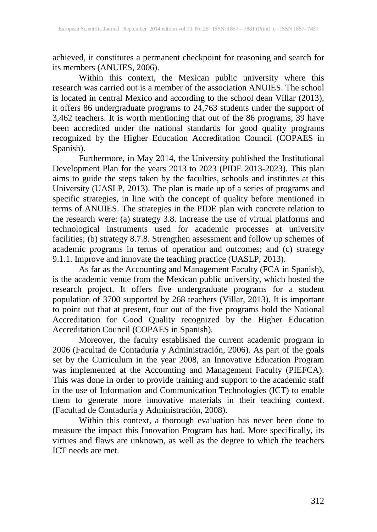achieved, it constitutes a permanent checkpoint for reasoning and search for its members (ANUIES, 2006).

Within this context, the Mexican public university where this research was carried out is a member of the association ANUIES. The school is located in central Mexico and according to the school dean Villar (2013), it offers 86 undergraduate programs to 24,763 students under the support of 3,462 teachers. It is worth mentioning that out of the 86 programs, 39 have been accredited under the national standards for good quality programs recognized by the Higher Education Accreditation Council (COPAES in Spanish).

Furthermore, in May 2014, the University published the Institutional Development Plan for the years 2013 to 2023 (PIDE 2013-2023). This plan aims to guide the steps taken by the faculties, schools and institutes at this University (UASLP, 2013). The plan is made up of a series of programs and specific strategies, in line with the concept of quality before mentioned in terms of ANUIES. The strategies in the PIDE plan with concrete relation to the research were: (a) strategy 3.8. Increase the use of virtual platforms and technological instruments used for academic processes at university facilities; (b) strategy 8.7.8. Strengthen assessment and follow up schemes of academic programs in terms of operation and outcomes; and (c) strategy 9.1.1. Improve and innovate the teaching practice (UASLP, 2013).

As far as the Accounting and Management Faculty (FCA in Spanish), is the academic venue from the Mexican public university, which hosted the research project. It offers five undergraduate programs for a student population of 3700 supported by 268 teachers (Villar, 2013). It is important to point out that at present, four out of the five programs hold the National Accreditation for Good Quality recognized by the Higher Education Accreditation Council (COPAES in Spanish).

Moreover, the faculty established the current academic program in 2006 (Facultad de Contaduría y Administración, 2006). As part of the goals set by the Curriculum in the year 2008, an Innovative Education Program was implemented at the Accounting and Management Faculty (PIEFCA). This was done in order to provide training and support to the academic staff in the use of Information and Communication Technologies (ICT) to enable them to generate more innovative materials in their teaching context. (Facultad de Contaduría y Administración, 2008).

Within this context, a thorough evaluation has never been done to measure the impact this Innovation Program has had. More specifically, its virtues and flaws are unknown, as well as the degree to which the teachers ICT needs are met.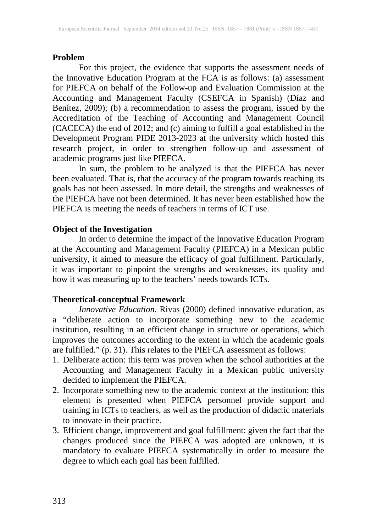#### **Problem**

For this project, the evidence that supports the assessment needs of the Innovative Education Program at the FCA is as follows: (a) assessment for PIEFCA on behalf of the Follow-up and Evaluation Commission at the Accounting and Management Faculty (CSEFCA in Spanish) (Díaz and Benítez, 2009); (b) a recommendation to assess the program, issued by the Accreditation of the Teaching of Accounting and Management Council (CACECA) the end of 2012; and (c) aiming to fulfill a goal established in the Development Program PIDE 2013-2023 at the university which hosted this research project, in order to strengthen follow-up and assessment of academic programs just like PIEFCA.

In sum, the problem to be analyzed is that the PIEFCA has never been evaluated. That is, that the accuracy of the program towards reaching its goals has not been assessed. In more detail, the strengths and weaknesses of the PIEFCA have not been determined. It has never been established how the PIEFCA is meeting the needs of teachers in terms of ICT use.

#### **Object of the Investigation**

In order to determine the impact of the Innovative Education Program at the Accounting and Management Faculty (PIEFCA) in a Mexican public university, it aimed to measure the efficacy of goal fulfillment. Particularly, it was important to pinpoint the strengths and weaknesses, its quality and how it was measuring up to the teachers' needs towards ICTs.

#### **Theoretical-conceptual Framework**

*Innovative Education.* Rivas (2000) defined innovative education, as a "deliberate action to incorporate something new to the academic institution, resulting in an efficient change in structure or operations, which improves the outcomes according to the extent in which the academic goals are fulfilled." (p. 31). This relates to the PIEFCA assessment as follows:

- 1. Deliberate action: this term was proven when the school authorities at the Accounting and Management Faculty in a Mexican public university decided to implement the PIEFCA.
- 2. Incorporate something new to the academic context at the institution: this element is presented when PIEFCA personnel provide support and training in ICTs to teachers, as well as the production of didactic materials to innovate in their practice.
- 3. Efficient change, improvement and goal fulfillment: given the fact that the changes produced since the PIEFCA was adopted are unknown, it is mandatory to evaluate PIEFCA systematically in order to measure the degree to which each goal has been fulfilled.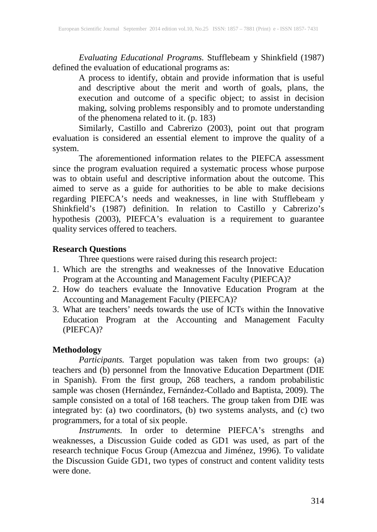*Evaluating Educational Programs.* Stufflebeam y Shinkfield (1987) defined the evaluation of educational programs as:

A process to identify, obtain and provide information that is useful and descriptive about the merit and worth of goals, plans, the execution and outcome of a specific object; to assist in decision making, solving problems responsibly and to promote understanding of the phenomena related to it. (p. 183)

Similarly, Castillo and Cabrerizo (2003), point out that program evaluation is considered an essential element to improve the quality of a system.

The aforementioned information relates to the PIEFCA assessment since the program evaluation required a systematic process whose purpose was to obtain useful and descriptive information about the outcome. This aimed to serve as a guide for authorities to be able to make decisions regarding PIEFCA's needs and weaknesses, in line with Stufflebeam y Shinkfield's (1987) definition. In relation to Castillo y Cabrerizo's hypothesis (2003), PIEFCA's evaluation is a requirement to guarantee quality services offered to teachers.

## **Research Questions**

Three questions were raised during this research project:

- 1. Which are the strengths and weaknesses of the Innovative Education Program at the Accounting and Management Faculty (PIEFCA)?
- 2. How do teachers evaluate the Innovative Education Program at the Accounting and Management Faculty (PIEFCA)?
- 3. What are teachers' needs towards the use of ICTs within the Innovative Education Program at the Accounting and Management Faculty (PIEFCA)?

## **Methodology**

*Participants.* Target population was taken from two groups: (a) teachers and (b) personnel from the Innovative Education Department (DIE in Spanish). From the first group, 268 teachers, a random probabilistic sample was chosen (Hernández, Fernández-Collado and Baptista, 2009). The sample consisted on a total of 168 teachers. The group taken from DIE was integrated by: (a) two coordinators, (b) two systems analysts, and (c) two programmers, for a total of six people.

*Instruments.* In order to determine PIEFCA's strengths and weaknesses, a Discussion Guide coded as GD1 was used, as part of the research technique Focus Group (Amezcua and Jiménez, 1996). To validate the Discussion Guide GD1, two types of construct and content validity tests were done.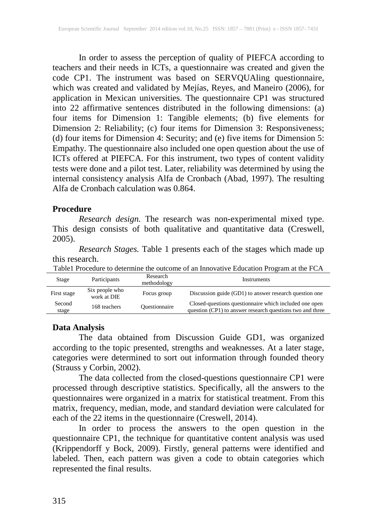In order to assess the perception of quality of PIEFCA according to teachers and their needs in ICTs, a questionnaire was created and given the code CP1. The instrument was based on SERVQUAling questionnaire, which was created and validated by Mejías, Reyes, and Maneiro (2006), for application in Mexican universities. The questionnaire CP1 was structured into 22 affirmative sentences distributed in the following dimensions: (a) four items for Dimension 1: Tangible elements; (b) five elements for Dimension 2: Reliability; (c) four items for Dimension 3: Responsiveness; (d) four items for Dimension 4: Security; and (e) five items for Dimension 5: Empathy. The questionnaire also included one open question about the use of ICTs offered at PIEFCA. For this instrument, two types of content validity tests were done and a pilot test. Later, reliability was determined by using the internal consistency analysis Alfa de Cronbach (Abad, 1997). The resulting Alfa de Cronbach calculation was 0.864.

#### **Procedure**

*Research design.* The research was non-experimental mixed type. This design consists of both qualitative and quantitative data (Creswell, 2005).

*Research Stages.* Table 1 presents each of the stages which made up this research.

| Table Procedure to determine the outcome of an Innovative Education Program at the FCA |  |
|----------------------------------------------------------------------------------------|--|
| <b>D</b> ecessar                                                                       |  |

| Stage           | Participants                  | Research<br>methodology | <b>Instruments</b>                                                                                                  |
|-----------------|-------------------------------|-------------------------|---------------------------------------------------------------------------------------------------------------------|
| First stage     | Six people who<br>work at DIE | Focus group             | Discussion guide (GD1) to answer research question one                                                              |
| Second<br>stage | 168 teachers                  | <b>Questionnaire</b>    | Closed-questions question aire which included one open<br>question (CP1) to answer research questions two and three |

## **Data Analysis**

The data obtained from Discussion Guide GD1, was organized according to the topic presented, strengths and weaknesses. At a later stage, categories were determined to sort out information through founded theory (Strauss y Corbin, 2002).

The data collected from the closed-questions questionnaire CP1 were processed through descriptive statistics. Specifically, all the answers to the questionnaires were organized in a matrix for statistical treatment. From this matrix, frequency, median, mode, and standard deviation were calculated for each of the 22 items in the questionnaire (Creswell, 2014).

In order to process the answers to the open question in the questionnaire CP1, the technique for quantitative content analysis was used (Krippendorff y Bock, 2009). Firstly, general patterns were identified and labeled. Then, each pattern was given a code to obtain categories which represented the final results.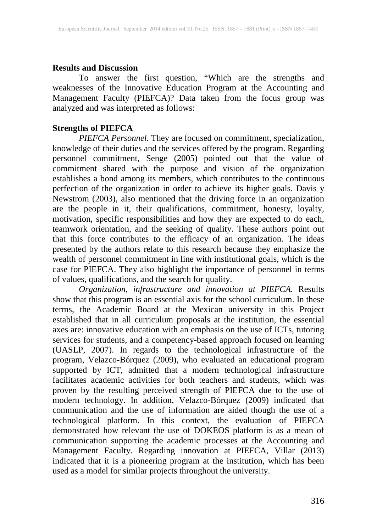#### **Results and Discussion**

To answer the first question, "Which are the strengths and weaknesses of the Innovative Education Program at the Accounting and Management Faculty (PIEFCA)? Data taken from the focus group was analyzed and was interpreted as follows:

## **Strengths of PIEFCA**

*PIEFCA Personnel.* They are focused on commitment, specialization, knowledge of their duties and the services offered by the program. Regarding personnel commitment, Senge (2005) pointed out that the value of commitment shared with the purpose and vision of the organization establishes a bond among its members, which contributes to the continuous perfection of the organization in order to achieve its higher goals. Davis y Newstrom (2003), also mentioned that the driving force in an organization are the people in it, their qualifications, commitment, honesty, loyalty, motivation, specific responsibilities and how they are expected to do each, teamwork orientation, and the seeking of quality. These authors point out that this force contributes to the efficacy of an organization. The ideas presented by the authors relate to this research because they emphasize the wealth of personnel commitment in line with institutional goals, which is the case for PIEFCA. They also highlight the importance of personnel in terms of values, qualifications, and the search for quality.

*Organization, infrastructure and innovation at PIEFCA.* Results show that this program is an essential axis for the school curriculum. In these terms, the Academic Board at the Mexican university in this Project established that in all curriculum proposals at the institution, the essential axes are: innovative education with an emphasis on the use of ICTs, tutoring services for students, and a competency-based approach focused on learning (UASLP, 2007). In regards to the technological infrastructure of the program, Velazco-Bórquez (2009), who evaluated an educational program supported by ICT, admitted that a modern technological infrastructure facilitates academic activities for both teachers and students, which was proven by the resulting perceived strength of PIEFCA due to the use of modern technology. In addition, Velazco-Bórquez (2009) indicated that communication and the use of information are aided though the use of a technological platform. In this context, the evaluation of PIEFCA demonstrated how relevant the use of DOKEOS platform is as a mean of communication supporting the academic processes at the Accounting and Management Faculty. Regarding innovation at PIEFCA, Villar (2013) indicated that it is a pioneering program at the institution, which has been used as a model for similar projects throughout the university.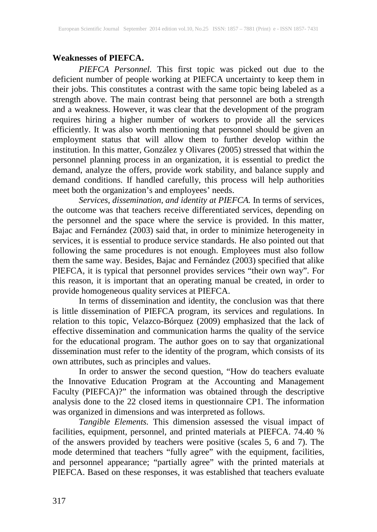## **Weaknesses of PIEFCA.**

*PIEFCA Personnel.* This first topic was picked out due to the deficient number of people working at PIEFCA uncertainty to keep them in their jobs. This constitutes a contrast with the same topic being labeled as a strength above. The main contrast being that personnel are both a strength and a weakness. However, it was clear that the development of the program requires hiring a higher number of workers to provide all the services efficiently. It was also worth mentioning that personnel should be given an employment status that will allow them to further develop within the institution. In this matter, González y Olivares (2005) stressed that within the personnel planning process in an organization, it is essential to predict the demand, analyze the offers, provide work stability, and balance supply and demand conditions. If handled carefully, this process will help authorities meet both the organization's and employees' needs.

*Services, dissemination, and identity at PIEFCA.* In terms of services, the outcome was that teachers receive differentiated services, depending on the personnel and the space where the service is provided. In this matter, Bajac and Fernández (2003) said that, in order to minimize heterogeneity in services, it is essential to produce service standards. He also pointed out that following the same procedures is not enough. Employees must also follow them the same way. Besides, Bajac and Fernández (2003) specified that alike PIEFCA, it is typical that personnel provides services "their own way". For this reason, it is important that an operating manual be created, in order to provide homogeneous quality services at PIEFCA.

In terms of dissemination and identity, the conclusion was that there is little dissemination of PIEFCA program, its services and regulations. In relation to this topic, Velazco-Bórquez (2009) emphasized that the lack of effective dissemination and communication harms the quality of the service for the educational program. The author goes on to say that organizational dissemination must refer to the identity of the program, which consists of its own attributes, such as principles and values.

In order to answer the second question, "How do teachers evaluate the Innovative Education Program at the Accounting and Management Faculty (PIEFCA)?" the information was obtained through the descriptive analysis done to the 22 closed items in questionnaire CP1. The information was organized in dimensions and was interpreted as follows.

*Tangible Elements.* This dimension assessed the visual impact of facilities, equipment, personnel, and printed materials at PIEFCA. 74.40 % of the answers provided by teachers were positive (scales 5, 6 and 7). The mode determined that teachers "fully agree" with the equipment, facilities, and personnel appearance; "partially agree" with the printed materials at PIEFCA. Based on these responses, it was established that teachers evaluate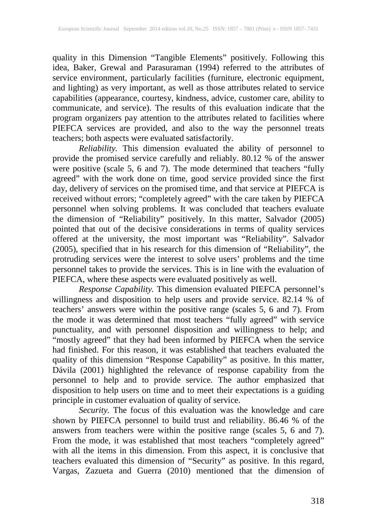quality in this Dimension "Tangible Elements" positively. Following this idea, Baker, Grewal and Parasuraman (1994) referred to the attributes of service environment, particularly facilities (furniture, electronic equipment, and lighting) as very important, as well as those attributes related to service capabilities (appearance, courtesy, kindness, advice, customer care, ability to communicate, and service). The results of this evaluation indicate that the program organizers pay attention to the attributes related to facilities where PIEFCA services are provided, and also to the way the personnel treats teachers; both aspects were evaluated satisfactorily.

*Reliability.* This dimension evaluated the ability of personnel to provide the promised service carefully and reliably. 80.12 % of the answer were positive (scale 5, 6 and 7). The mode determined that teachers "fully agreed" with the work done on time, good service provided since the first day, delivery of services on the promised time, and that service at PIEFCA is received without errors; "completely agreed" with the care taken by PIEFCA personnel when solving problems. It was concluded that teachers evaluate the dimension of "Reliability" positively. In this matter, Salvador (2005) pointed that out of the decisive considerations in terms of quality services offered at the university, the most important was "Reliability". Salvador (2005), specified that in his research for this dimension of "Reliability", the protruding services were the interest to solve users' problems and the time personnel takes to provide the services. This is in line with the evaluation of PIEFCA, where these aspects were evaluated positively as well.

*Response Capability.* This dimension evaluated PIEFCA personnel's willingness and disposition to help users and provide service. 82.14 % of teachers' answers were within the positive range (scales 5, 6 and 7). From the mode it was determined that most teachers "fully agreed" with service punctuality, and with personnel disposition and willingness to help; and "mostly agreed" that they had been informed by PIEFCA when the service had finished. For this reason, it was established that teachers evaluated the quality of this dimension "Response Capability" as positive. In this matter, Dávila (2001) highlighted the relevance of response capability from the personnel to help and to provide service. The author emphasized that disposition to help users on time and to meet their expectations is a guiding principle in customer evaluation of quality of service.

*Security.* The focus of this evaluation was the knowledge and care shown by PIEFCA personnel to build trust and reliability. 86.46 % of the answers from teachers were within the positive range (scales 5, 6 and 7). From the mode, it was established that most teachers "completely agreed" with all the items in this dimension. From this aspect, it is conclusive that teachers evaluated this dimension of "Security" as positive. In this regard, Vargas, Zazueta and Guerra (2010) mentioned that the dimension of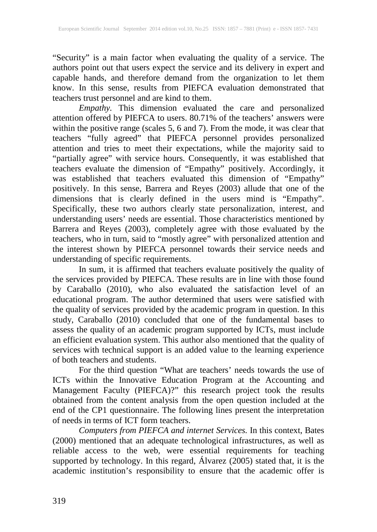"Security" is a main factor when evaluating the quality of a service. The authors point out that users expect the service and its delivery in expert and capable hands, and therefore demand from the organization to let them know. In this sense, results from PIEFCA evaluation demonstrated that teachers trust personnel and are kind to them.

*Empathy.* This dimension evaluated the care and personalized attention offered by PIEFCA to users. 80.71% of the teachers' answers were within the positive range (scales 5, 6 and 7). From the mode, it was clear that teachers "fully agreed" that PIEFCA personnel provides personalized attention and tries to meet their expectations, while the majority said to "partially agree" with service hours. Consequently, it was established that teachers evaluate the dimension of "Empathy" positively. Accordingly, it was established that teachers evaluated this dimension of "Empathy" positively. In this sense, Barrera and Reyes (2003) allude that one of the dimensions that is clearly defined in the users mind is "Empathy". Specifically, these two authors clearly state personalization, interest, and understanding users' needs are essential. Those characteristics mentioned by Barrera and Reyes (2003), completely agree with those evaluated by the teachers, who in turn, said to "mostly agree" with personalized attention and the interest shown by PIEFCA personnel towards their service needs and understanding of specific requirements.

In sum, it is affirmed that teachers evaluate positively the quality of the services provided by PIEFCA. These results are in line with those found by Caraballo (2010), who also evaluated the satisfaction level of an educational program. The author determined that users were satisfied with the quality of services provided by the academic program in question. In this study, Caraballo (2010) concluded that one of the fundamental bases to assess the quality of an academic program supported by ICTs, must include an efficient evaluation system. This author also mentioned that the quality of services with technical support is an added value to the learning experience of both teachers and students.

For the third question "What are teachers' needs towards the use of ICTs within the Innovative Education Program at the Accounting and Management Faculty (PIEFCA)?" this research project took the results obtained from the content analysis from the open question included at the end of the CP1 questionnaire. The following lines present the interpretation of needs in terms of ICT form teachers.

*Computers from PIEFCA and internet Services.* In this context, Bates (2000) mentioned that an adequate technological infrastructures, as well as reliable access to the web, were essential requirements for teaching supported by technology. In this regard, Álvarez (2005) stated that, it is the academic institution's responsibility to ensure that the academic offer is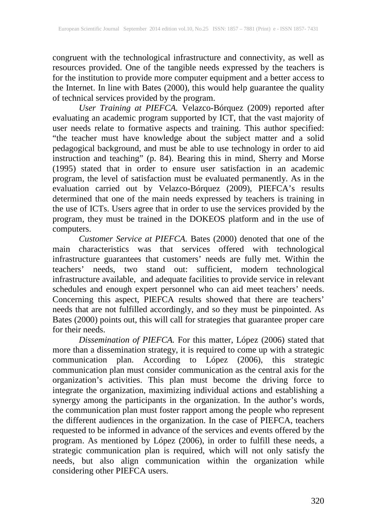congruent with the technological infrastructure and connectivity, as well as resources provided. One of the tangible needs expressed by the teachers is for the institution to provide more computer equipment and a better access to the Internet. In line with Bates (2000), this would help guarantee the quality of technical services provided by the program.

*User Training at PIEFCA.* Velazco-Bórquez (2009) reported after evaluating an academic program supported by ICT, that the vast majority of user needs relate to formative aspects and training. This author specified: "the teacher must have knowledge about the subject matter and a solid pedagogical background, and must be able to use technology in order to aid instruction and teaching" (p. 84). Bearing this in mind, Sherry and Morse (1995) stated that in order to ensure user satisfaction in an academic program, the level of satisfaction must be evaluated permanently. As in the evaluation carried out by Velazco-Bórquez (2009), PIEFCA's results determined that one of the main needs expressed by teachers is training in the use of ICTs. Users agree that in order to use the services provided by the program, they must be trained in the DOKEOS platform and in the use of computers.

*Customer Service at PIEFCA.* Bates (2000) denoted that one of the main characteristics was that services offered with technological infrastructure guarantees that customers' needs are fully met. Within the teachers' needs, two stand out: sufficient, modern technological infrastructure available, and adequate facilities to provide service in relevant schedules and enough expert personnel who can aid meet teachers' needs. Concerning this aspect, PIEFCA results showed that there are teachers' needs that are not fulfilled accordingly, and so they must be pinpointed. As Bates (2000) points out, this will call for strategies that guarantee proper care for their needs.

*Dissemination of PIEFCA.* For this matter, López (2006) stated that more than a dissemination strategy, it is required to come up with a strategic communication plan. According to López (2006), this strategic communication plan must consider communication as the central axis for the organization's activities. This plan must become the driving force to integrate the organization, maximizing individual actions and establishing a synergy among the participants in the organization. In the author's words, the communication plan must foster rapport among the people who represent the different audiences in the organization. In the case of PIEFCA, teachers requested to be informed in advance of the services and events offered by the program. As mentioned by López (2006), in order to fulfill these needs, a strategic communication plan is required, which will not only satisfy the needs, but also align communication within the organization while considering other PIEFCA users.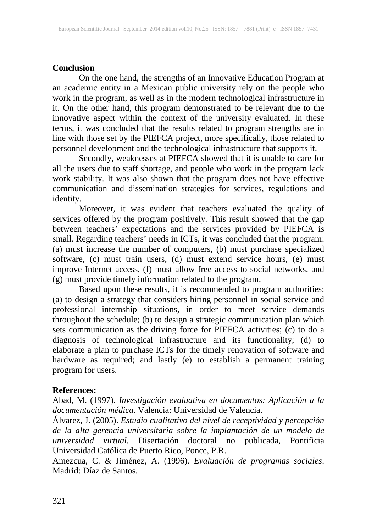## **Conclusion**

On the one hand, the strengths of an Innovative Education Program at an academic entity in a Mexican public university rely on the people who work in the program, as well as in the modern technological infrastructure in it. On the other hand, this program demonstrated to be relevant due to the innovative aspect within the context of the university evaluated. In these terms, it was concluded that the results related to program strengths are in line with those set by the PIEFCA project, more specifically, those related to personnel development and the technological infrastructure that supports it.

Secondly, weaknesses at PIEFCA showed that it is unable to care for all the users due to staff shortage, and people who work in the program lack work stability. It was also shown that the program does not have effective communication and dissemination strategies for services, regulations and identity.

Moreover, it was evident that teachers evaluated the quality of services offered by the program positively. This result showed that the gap between teachers' expectations and the services provided by PIEFCA is small. Regarding teachers' needs in ICTs, it was concluded that the program: (a) must increase the number of computers, (b) must purchase specialized software, (c) must train users, (d) must extend service hours, (e) must improve Internet access, (f) must allow free access to social networks, and (g) must provide timely information related to the program.

Based upon these results, it is recommended to program authorities: (a) to design a strategy that considers hiring personnel in social service and professional internship situations, in order to meet service demands throughout the schedule; (b) to design a strategic communication plan which sets communication as the driving force for PIEFCA activities; (c) to do a diagnosis of technological infrastructure and its functionality; (d) to elaborate a plan to purchase ICTs for the timely renovation of software and hardware as required; and lastly (e) to establish a permanent training program for users.

#### **References:**

Abad, M. (1997). *Investigación evaluativa en documentos: Aplicación a la documentación médica.* Valencia: Universidad de Valencia.

Álvarez, J. (2005). *Estudio cualitativo del nivel de receptividad y percepción de la alta gerencia universitaria sobre la implantación de un modelo de universidad virtual.* Disertación doctoral no publicada, Pontificia Universidad Católica de Puerto Rico, Ponce, P.R.

Amezcua, C. & Jiménez, A. (1996). *Evaluación de programas sociales*. Madrid: Díaz de Santos.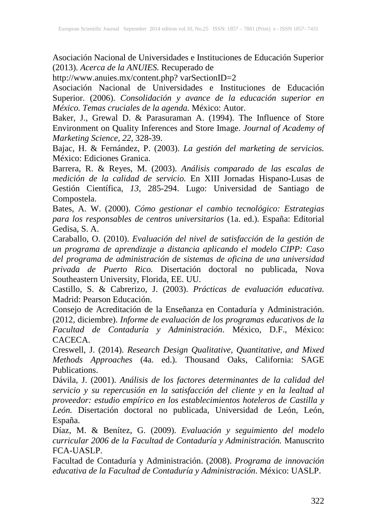Asociación Nacional de Universidades e Instituciones de Educación Superior (2013). *Acerca de la ANUIES.* Recuperado de

http://www.anuies.mx/content.php? varSectionID=2

Asociación Nacional de Universidades e Instituciones de Educación Superior. (2006). *Consolidación y avance de la educación superior en México. Temas cruciales de la agenda.* México: Autor.

Baker, J., Grewal D. & Parasuraman A. (1994). The Influence of Store Environment on Quality Inferences and Store Image. *Journal of Academy of Marketing Science, 22*, 328-39.

Bajac, H. & Fernández, P. (2003). *La gestión del marketing de servicios.* México: Ediciones Granica.

Barrera, R. & Reyes, M. (2003). *Análisis comparado de las escalas de medición de la calidad de servicio.* En XIII Jornadas Hispano-Lusas de Gestión Científica, *13,* 285-294. Lugo: Universidad de Santiago de Compostela.

Bates, A. W. (2000). *Cómo gestionar el cambio tecnológico: Estrategias para los responsables de centros universitarios* (1a. ed.). España: Editorial Gedisa, S. A.

Caraballo, O. (2010). *Evaluación del nivel de satisfacción de la gestión de un programa de aprendizaje a distancia aplicando el modelo CIPP: Caso del programa de administración de sistemas de oficina de una universidad privada de Puerto Rico.* Disertación doctoral no publicada, Nova Southeastern University, Florida, EE. UU.

Castillo, S. & Cabrerizo, J. (2003). *Prácticas de evaluación educativa.* Madrid: Pearson Educación.

Consejo de Acreditación de la Enseñanza en Contaduría y Administración. (2012, diciembre). *Informe de evaluación de los programas educativos de la Facultad de Contaduría y Administración*. México, D.F., México: CACECA.

Creswell, J. (2014). *Research Design Qualitative, Quantitative, and Mixed Methods Approaches* (4a. ed.). Thousand Oaks, California: SAGE Publications.

Dávila, J. (2001). *Análisis de los factores determinantes de la calidad del servicio y su repercusión en la satisfacción del cliente y en la lealtad al proveedor: estudio empírico en los establecimientos hoteleros de Castilla y León.* Disertación doctoral no publicada, Universidad de León, León, España.

Díaz, M. & Benítez, G. (2009). *Evaluación y seguimiento del modelo curricular 2006 de la Facultad de Contaduría y Administración.* Manuscrito FCA-UASLP.

Facultad de Contaduría y Administración. (2008). *Programa de innovación educativa de la Facultad de Contaduría y Administración*. México: UASLP.